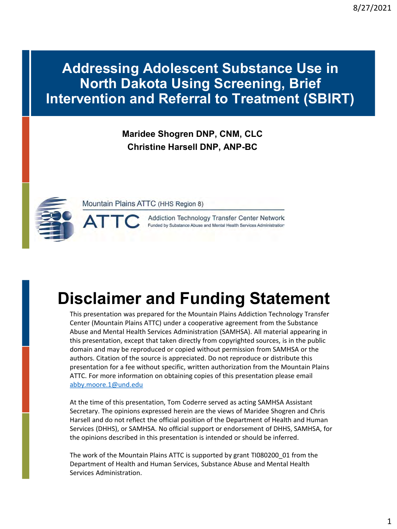### **Addressing Adolescent Substance Use in North Dakota Using Screening, Brief Intervention and Referral to Treatment (SBIRT)**

### **Maridee Shogren DNP, CNM, CLC Christine Harsell DNP, ANP-BC**



Mountain Plains ATTC (HHS Region 8)

Addiction Technology Transfer Center Network Funded by Substance Abuse and Mental Health Services Administration

# **Disclaimer and Funding Statement**

This presentation was prepared for the Mountain Plains Addiction Technology Transfer Center (Mountain Plains ATTC) under a cooperative agreement from the Substance Abuse and Mental Health Services Administration (SAMHSA). All material appearing in this presentation, except that taken directly from copyrighted sources, is in the public domain and may be reproduced or copied without permission from SAMHSA or the authors. Citation of the source is appreciated. Do not reproduce or distribute this presentation for a fee without specific, written authorization from the Mountain Plains ATTC. For more information on obtaining copies of this presentation please email abby.moore.1@und.edu

At the time of this presentation, Tom Coderre served as acting SAMHSA Assistant Secretary. The opinions expressed herein are the views of Maridee Shogren and Chris Harsell and do not reflect the official position of the Department of Health and Human Services (DHHS), or SAMHSA. No official support or endorsement of DHHS, SAMHSA, for the opinions described in this presentation is intended or should be inferred.

The work of the Mountain Plains ATTC is supported by grant TI080200\_01 from the Department of Health and Human Services, Substance Abuse and Mental Health Services Administration.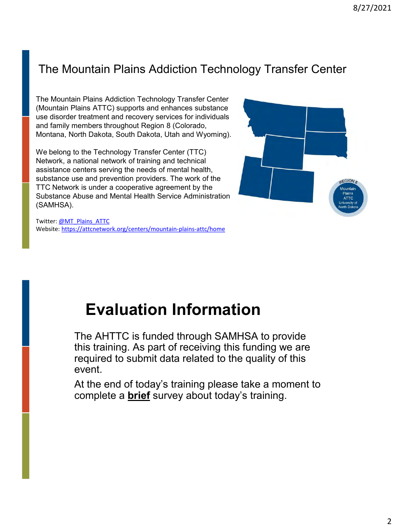### The Mountain Plains Addiction Technology Transfer Center

The Mountain Plains Addiction Technology Transfer Center (Mountain Plains ATTC) supports and enhances substance use disorder treatment and recovery services for individuals and family members throughout Region 8 (Colorado, Montana, North Dakota, South Dakota, Utah and Wyoming).

We belong to the Technology Transfer Center (TTC) Network, a national network of training and technical assistance centers serving the needs of mental health, substance use and prevention providers. The work of the TTC Network is under a cooperative agreement by the Substance Abuse and Mental Health Service Administration (SAMHSA).



Twitter: [@MT\\_Plains\\_ATTC](https://twitter.com/MT_Plains_ATTC) Website: <https://attcnetwork.org/centers/mountain-plains-attc/home>

# **Evaluation Information**

The AHTTC is funded through SAMHSA to provide this training. As part of receiving this funding we are required to submit data related to the quality of this event.

At the end of today's training please take a moment to complete a **brief** survey about today's training.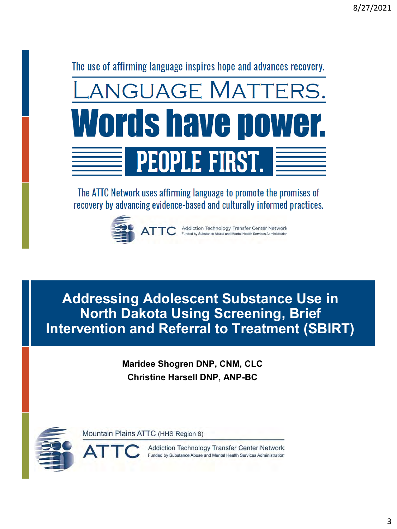The use of affirming language inspires hope and advances recovery.



The ATTC Network uses affirming language to promote the promises of recovery by advancing evidence-based and culturally informed practices.



**Addressing Adolescent Substance Use in North Dakota Using Screening, Brief Intervention and Referral to Treatment (SBIRT)**

> **Maridee Shogren DNP, CNM, CLC Christine Harsell DNP, ANP-BC**



Mountain Plains ATTC (HHS Region 8)

Addiction Technology Transfer Center Network Funded by Substance Abuse and Mental Health Services Administration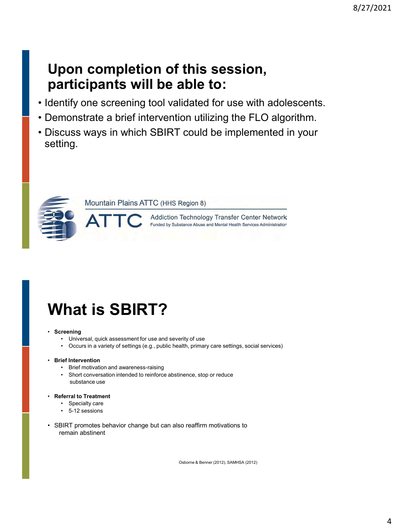### **Upon completion of this session, participants will be able to:**

- Identify one screening tool validated for use with adolescents.
- Demonstrate a brief intervention utilizing the FLO algorithm.
- Discuss ways in which SBIRT could be implemented in your setting.



Mountain Plains ATTC (HHS Region 8)

Addiction Technology Transfer Center Network Funded by Substance Abuse and Mental Health Services Administration

# **What is SBIRT?**

#### • **Screening**

- Universal, quick assessment for use and severity of use
- Occurs in a variety of settings (e.g., public health, primary care settings, social services)

#### • **Brief Intervention**

- Brief motivation and awareness-raising
- Short conversation intended to reinforce abstinence, stop or reduce substance use
- **Referral to Treatment**
	- Specialty care
	- 5-12 sessions
- SBIRT promotes behavior change but can also reaffirm motivations to remain abstinent

Osborne & Benner (2012), SAMHSA (2012)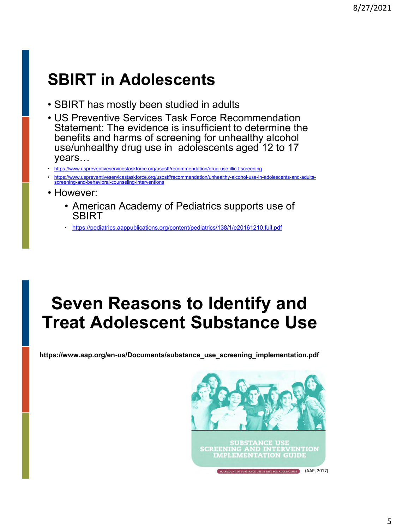# **SBIRT in Adolescents**

- SBIRT has mostly been studied in adults
- US Preventive Services Task Force Recommendation Statement: The evidence is insufficient to determine the benefits and harms of screening for unhealthy alcohol use/unhealthy drug use in adolescents aged 12 to 17 years…
- <https://www.uspreventiveservicestaskforce.org/uspstf/recommendation/drug-use-illicit-screening>
- [https://www.uspreventiveservicestaskforce.org/uspstf/recommendation/unhealthy-alcohol-use-in-adolescents-and-adults](https://www.uspreventiveservicestaskforce.org/uspstf/recommendation/unhealthy-alcohol-use-in-adolescents-and-adults-screening-and-behavioral-counseling-interventions)screening-and-behavioral-counseling-interventions
- However:
	- American Academy of Pediatrics supports use of **SBIRT**
	- <https://pediatrics.aappublications.org/content/pediatrics/138/1/e20161210.full.pdf>

# **Seven Reasons to Identify and Treat Adolescent Substance Use**

**https://www.aap.org/en-us/Documents/substance\_use\_screening\_implementation.pdf**

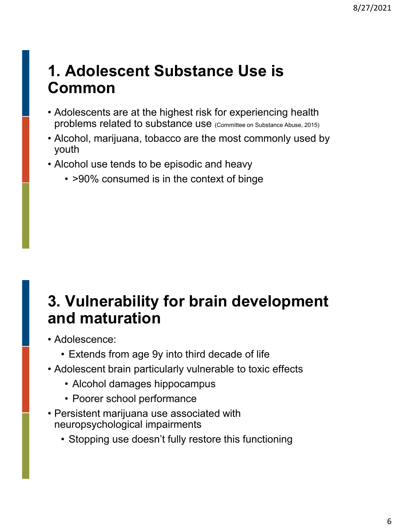## **1. Adolescent Substance Use is Common**

- Adolescents are at the highest risk for experiencing health problems related to substance use (Committee on Substance Abuse, 2015)
- Alcohol, marijuana, tobacco are the most commonly used by youth
- Alcohol use tends to be episodic and heavy
	- >90% consumed is in the context of binge

# **3. Vulnerability for brain development and maturation**

- Adolescence:
	- Extends from age 9y into third decade of life
- Adolescent brain particularly vulnerable to toxic effects
	- Alcohol damages hippocampus
	- Poorer school performance
- Persistent marijuana use associated with neuropsychological impairments
	- Stopping use doesn't fully restore this functioning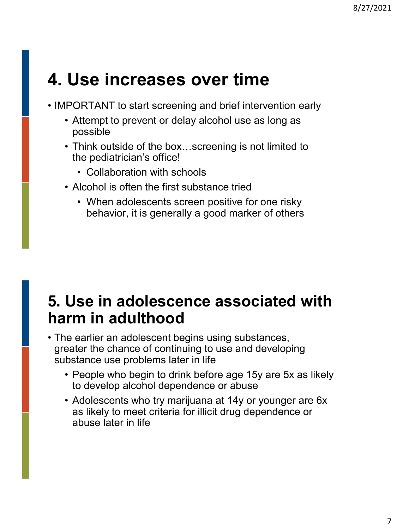# **4. Use increases over time**

- IMPORTANT to start screening and brief intervention early
	- Attempt to prevent or delay alcohol use as long as possible
	- Think outside of the box…screening is not limited to the pediatrician's office!
		- Collaboration with schools
	- Alcohol is often the first substance tried
		- When adolescents screen positive for one risky behavior, it is generally a good marker of others

## **5. Use in adolescence associated with harm in adulthood**

- The earlier an adolescent begins using substances, greater the chance of continuing to use and developing substance use problems later in life
	- People who begin to drink before age 15y are 5x as likely to develop alcohol dependence or abuse
	- Adolescents who try marijuana at 14y or younger are 6x as likely to meet criteria for illicit drug dependence or abuse later in life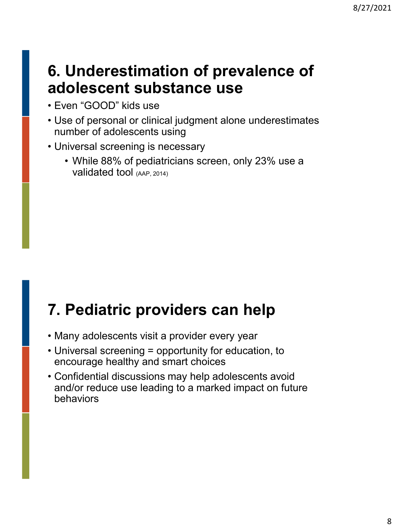## **6. Underestimation of prevalence of adolescent substance use**

- Even "GOOD" kids use
- Use of personal or clinical judgment alone underestimates number of adolescents using
- Universal screening is necessary
	- While 88% of pediatricians screen, only 23% use a validated tool (AAP, 2014)

# **7. Pediatric providers can help**

- Many adolescents visit a provider every year
- Universal screening = opportunity for education, to encourage healthy and smart choices
- Confidential discussions may help adolescents avoid and/or reduce use leading to a marked impact on future behaviors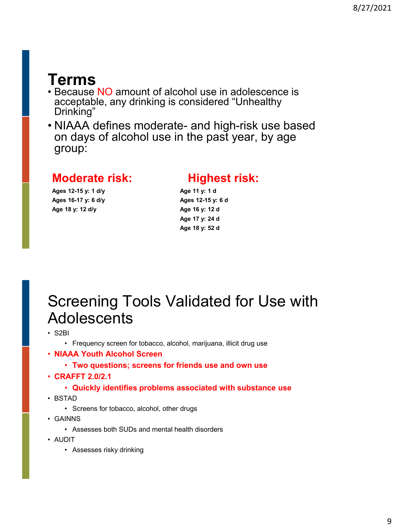## **Terms**

- Because NO amount of alcohol use in adolescence is acceptable, any drinking is considered "Unhealthy Drinking"
- NIAAA defines moderate- and high-risk use based on days of alcohol use in the past year, by age group:

### **Moderate risk: Highest risk:**

### **Ages 16-17 y: 6 d/y Ages 12-15 y: 6 d Age 18 y: 12 d/y Age 16 y: 12 d**

**Ages 12-15 y: 1 d/y Age 11 y: 1 d**

**Age 17 y: 24 d Age 18 y: 52 d**

## Screening Tools Validated for Use with **Adolescents**

- S2BI
	- Frequency screen for tobacco, alcohol, marijuana, illicit drug use
- **NIAAA Youth Alcohol Screen**
	- **Two questions; screens for friends use and own use**
- **CRAFFT 2.0/2.1**
	- **Quickly identifies problems associated with substance use**
- BSTAD
	- Screens for tobacco, alcohol, other drugs
- GAINNS
	- Assesses both SUDs and mental health disorders
- AUDIT
	- Assesses risky drinking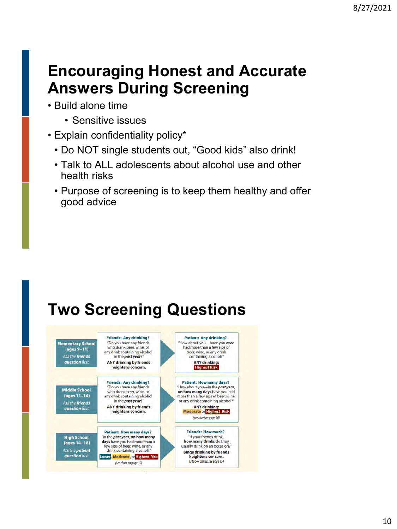# **Encouraging Honest and Accurate Answers During Screening**

- Build alone time
	- Sensitive issues
- Explain confidentiality policy\*
	- Do NOT single students out, "Good kids" also drink!
	- Talk to ALL adolescents about alcohol use and other health risks
	- Purpose of screening is to keep them healthy and offer good advice

# **Two Screening Questions**

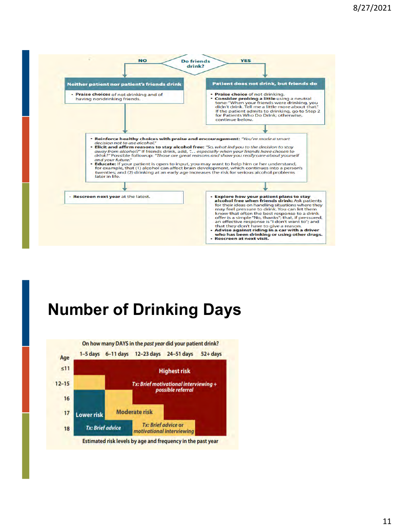

# **Number of Drinking Days**

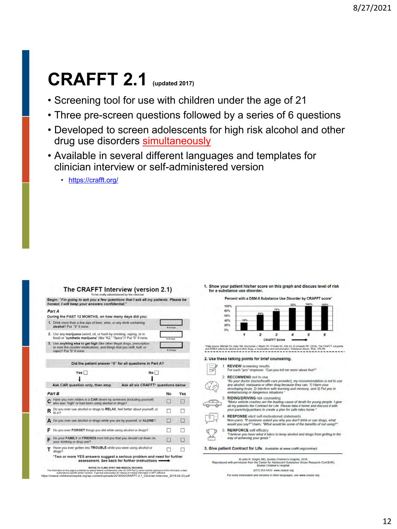# **CRAFFT 2.1 (updated 2017)**

- Screening tool for use with children under the age of 21
- Three pre-screen questions followed by a series of 6 questions
- Developed to screen adolescents for high risk alcohol and other drug use disorders simultaneously
- Available in several different languages and templates for clinician interview or self-administered version

• <https://crafft.org/>

#### The CRAFFT Interview (version 2.1)

Begin: "I'm going to ask you a few questions that I ask all my patients. Please be<br>honest. I will keep your answers confidential."

#### Part A

| During the PAST 12 MONTHS, on how many days did you:                                                                                                                        |                                     |             |     |
|-----------------------------------------------------------------------------------------------------------------------------------------------------------------------------|-------------------------------------|-------------|-----|
| 1. Drink more than a few sips of beer, wine, or any drink containing<br>alcohol? Put "0" if none.                                                                           | a at days                           |             |     |
| 2. Use any marijuana (weed, oil, or hash by smoking, vaping, or in<br>food) or "synthetic marijuana" (like "K2," "Spice")? Put "0" if none.                                 |                                     | at of stays |     |
| 3. Use anything else to get high (like other illegal drugs, prescription<br>or over-the-counter medications, and things that you sniff, huff, or<br>vape)? Put "0" if none. |                                     | # of days   |     |
| Did the patient answer "0" for all questions in Part A?                                                                                                                     |                                     |             |     |
| Yes                                                                                                                                                                         | No I                                |             |     |
|                                                                                                                                                                             |                                     |             |     |
| Ask CAR question only, then stop                                                                                                                                            | Ask all six CRAFFT' questions below |             |     |
| Part B                                                                                                                                                                      |                                     | No          | Yes |
| Have you ever ridden in a CAR driven by someone (including yourself)<br>who was "high" or had hean using alsohol or drugs?                                                  |                                     |             |     |

| Do you ever use alcohol or drugs to RELAX, feel better about yourself, or<br>fit in 7                                     |   |     |
|---------------------------------------------------------------------------------------------------------------------------|---|-----|
| A Do you ever use alcohol or drugs while you are by yourself, or ALONE?                                                   |   | . . |
| Do you ever FORGET things you did while using alcohol or drugs?                                                           |   |     |
| Do your FAMILY or FRIENDS ever tell you that you should cut down on<br>your drinking or drug use?                         | m | u   |
| Have you ever gotten into TROUBLE while you were using alcohol or<br>dr <sub>UR</sub> <sub>3</sub>                        |   |     |
| *Two or more YES answers suggest a serious problem and need for further<br>assessment. See back for further instructions. |   |     |
|                                                                                                                           |   |     |

https://ceasar.com/interview-of-mail.org/words/2018/2018/2018/2018/2018/2018/2018/thenshospital.org/wp-content<br>[https://ceasar.childrenshospital.org/wp-content/uploads/2018/04/CRAFFT-2.1\\_Clinician-Interview\\_2018-04-23.pdf](https://ceasar.childrenshospital.org/wp-content/uploads/2018/04/CRAFFT-2.1_Clinician-Interview_2018-04-23.pdf)<br>h

1. Show your patient his/her score on this graph and discuss level of risk for a substance use disorder.

Percent with a DSM-5 Substance Use Disorder by CRAFFT score



"Data source: Michel SG, Kelly SM, Gryczynak J, Myers CP, O'Grady KE, Kirk AS, & Schwartz RP. (2014). The CRAFFT cuspones<br>and ISSNS orterior to allow and other drugs a responsible and researcheden. Substance Alaxe: (SKA) 3

#### 2. Use these talking points for brief counseling.

Ġ

 $3.$ 

|  | <b>REVIEW screening results</b><br>For each 'yes' response. "Can you tell me more about that?"                                                                                                                                                                                                            |
|--|-----------------------------------------------------------------------------------------------------------------------------------------------------------------------------------------------------------------------------------------------------------------------------------------------------------|
|  | <b>RECOMMEND not to use</b><br>"As your doctor (nurse/health care provider), my recommendation is not to use<br>any alcohol, manjuana or other drug because they can: 1) Harm your<br>developing brain; 2) Interfere with learning and memory, and 3) Put you in<br>embarrassing or dangerous situations. |
|  | <b>RIDING/DRIVING risk counseling</b><br>"Motor vehicle crashes are the leading cause of death for young people. I give<br>all my patients the Contract for Life. Please take it home and discuss it with<br>your parents/quardians to create a plan for safe rides home."                                |
|  | <b>RESPONSE</b> elicit self-motivational statements<br>Non-users: "If someone asked you why you don't drink or use drugs, what<br>would you say?" Users: 'What would be some of the benefits of not using?"                                                                                               |
|  | 5. REINFORCE self-efficacy<br>"I believe you have what it takes to keep alcohol and drugs from getting in the<br>way of achieving your goals."                                                                                                                                                            |
|  | 3. Give patient Contract for Life. Available at www.crafft.org/contract                                                                                                                                                                                                                                   |
|  | @ John R. Knight, MD, Boston Children's Hospital, 2018<br>Reproduced with permission from the Center for Adolescent Substance Abuse Research (CeASAR),                                                                                                                                                    |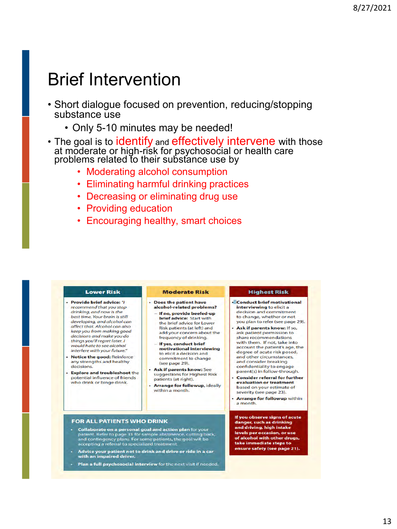# Brief Intervention

- Short dialogue focused on prevention, reducing/stopping substance use
	- Only 5-10 minutes may be needed!
- The goal is to identify and effectively intervene with those at moderate or high-risk for psychosocial or health care problems related to their substance use by
	- Moderating alcohol consumption
	- Eliminating harmful drinking practices
	- Decreasing or eliminating drug use
	- Providing education
	- Encouraging healthy, smart choices

#### **Lower Risk**

- · Provide brief advice: "I recommend that you stop drinking, and now is the best time. Your brain is still developing, and alcohol can affect that. Alcohol can also keep you from making good decisions and make you do things you'll regret later. I would hate to see alcohol interfere with your future."
- Notice the good: Reinforce any strengths and healthy decisions.
- · Explore and troubleshoot the potential influence of friends who drink or binge drink.

#### **Moderate Risk**

- · Does the patient have alcohol-related problems? If no, provide beefed-up
	- **brief advice: Start with** the brief advice for Lower Risk patients (at left) and add your concern about the frequency of drinking.
	- If yes, conduct brief motivational interviewing to elicit a decision and commitment to change (see page 29).
- Ask if parents know: See suggestions for Highest Risk patients (at right).
- **Arrange for followup, ideally** within a month.

#### **Highest Risk**

- Conduct brief motivational interviewing to elicit a decision and commitment to change, whether or not you plan to refer (see page 29).
- Ask if parents know: If so, ask patient permission to share recommendations with them. If not, take into account the patient's age, the degree of acute risk posed, and other circumstances. and consider breaking confidentiality to engage parent(s) in follow-through.
- **Consider referral for further** evaluation or treatment based on your estimate of severity (see page 23).
- **Arrange for followup within** a month.

If you observe signs of acute danger, such as drinking and driving, high intake levels per occasion, or use of alcohol with other drugs, take immediate steps to ensure safety (see page 21).

#### FOR ALL PATIENTS WHO DRINK

- Collaborate on a personal goal and action plan for your<br>patient. Refer to page 31 for sample abstinence, cutting back,<br>and contingency plans. For some patients, the goal will be accepting a referral to specialized treatme
- Advise your patient not to drink and drive or ride in a car<br>with an impaired driver.
- Plan a full psychosocial interview for the next visit if needed.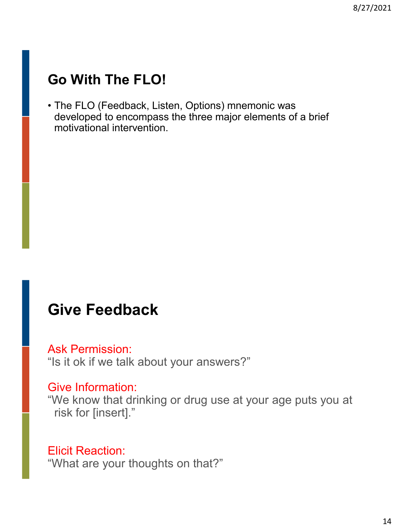## **Go With The FLO!**

• The FLO (Feedback, Listen, Options) mnemonic was developed to encompass the three major elements of a brief motivational intervention.

### **Give Feedback**

### Ask Permission:

"Is it ok if we talk about your answers?"

### Give Information:

"We know that drinking or drug use at your age puts you at risk for [insert]."

### Elicit Reaction:

"What are your thoughts on that?"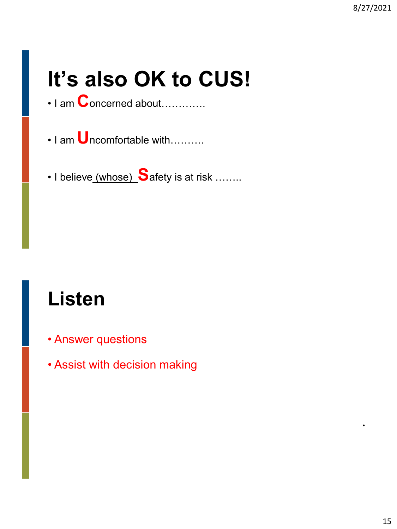# **It's also OK to CUS!**

- I am **C**oncerned about………….
- I am **U**ncomfortable with……….
- I believe (whose) **S**afety is at risk ……..

# **Listen**

- Answer questions
- Assist with decision making

•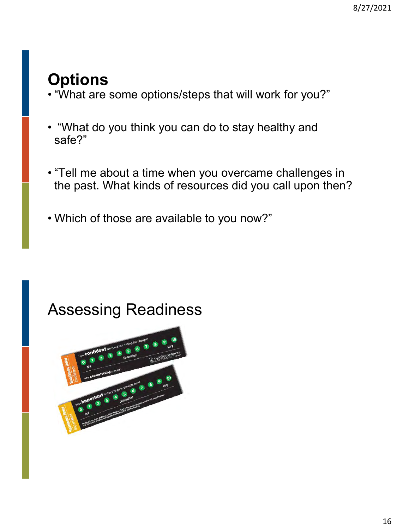# **Options**

- "What are some options/steps that will work for you?"
- "What do you think you can do to stay healthy and safe?"
- "Tell me about a time when you overcame challenges in the past. What kinds of resources did you call upon then?
- Which of those are available to you now?"

# Assessing Readiness

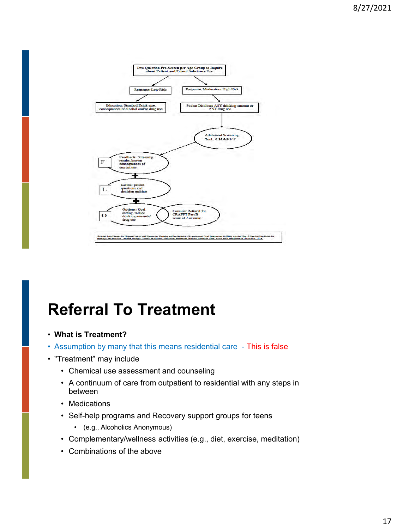

# **Referral To Treatment**

- **What is Treatment?**
- Assumption by many that this means residential care This is false
- "Treatment" may include
	- Chemical use assessment and counseling
	- A continuum of care from outpatient to residential with any steps in between
	- Medications
	- Self-help programs and Recovery support groups for teens
		- (e.g., Alcoholics Anonymous)
	- Complementary/wellness activities (e.g., diet, exercise, meditation)
	- Combinations of the above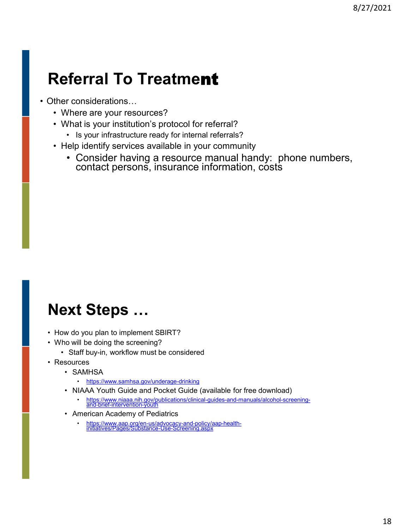# **Referral To Treatme**nt

- Other considerations…
	- Where are your resources?
	- What is your institution's protocol for referral?
		- Is your infrastructure ready for internal referrals?
	- Help identify services available in your community
		- Consider having a resource manual handy: phone numbers, contact persons, insurance information, costs

## **Next Steps …**

- How do you plan to implement SBIRT?
- Who will be doing the screening?
	- Staff buy-in, workflow must be considered
- Resources
	- SAMHSA
		- <https://www.samhsa.gov/underage-drinking>
	- NIAAA Youth Guide and Pocket Guide (available for free download)
		- [https://www.niaaa.nih.gov/publications/clinical-guides-and-manuals/alcohol-screening-](https://www.niaaa.nih.gov/publications/clinical-guides-and-manuals/alcohol-screening-and-brief-intervention-youth)and-brief-intervention-youth
	- American Academy of Pediatrics
		- [https://www.aap.org/en-us/advocacy-and-policy/aap-health-](https://www.aap.org/en-us/advocacy-and-policy/aap-health-initiatives/Pages/Substance-Use-Screening.aspx)initiatives/Pages/Substance-Use-Screening.aspx